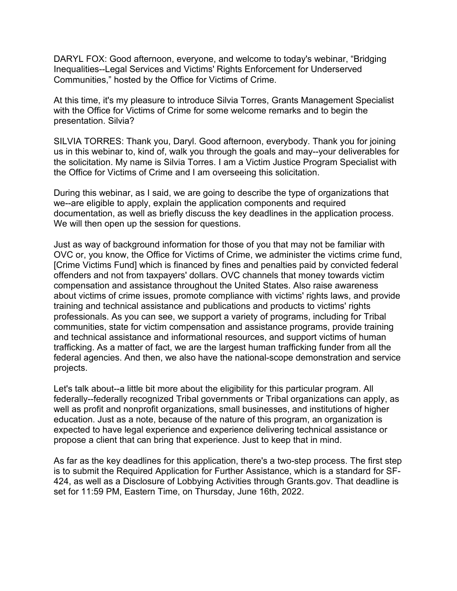DARYL FOX: Good afternoon, everyone, and welcome to today's webinar, "Bridging Inequalities--Legal Services and Victims' Rights Enforcement for Underserved Communities," hosted by the Office for Victims of Crime.

At this time, it's my pleasure to introduce Silvia Torres, Grants Management Specialist with the Office for Victims of Crime for some welcome remarks and to begin the presentation. Silvia?

SILVIA TORRES: Thank you, Daryl. Good afternoon, everybody. Thank you for joining us in this webinar to, kind of, walk you through the goals and may--your deliverables for the solicitation. My name is Silvia Torres. I am a Victim Justice Program Specialist with the Office for Victims of Crime and I am overseeing this solicitation.

During this webinar, as I said, we are going to describe the type of organizations that we--are eligible to apply, explain the application components and required documentation, as well as briefly discuss the key deadlines in the application process. We will then open up the session for questions.

Just as way of background information for those of you that may not be familiar with OVC or, you know, the Office for Victims of Crime, we administer the victims crime fund, [Crime Victims Fund] which is financed by fines and penalties paid by convicted federal offenders and not from taxpayers' dollars. OVC channels that money towards victim compensation and assistance throughout the United States. Also raise awareness about victims of crime issues, promote compliance with victims' rights laws, and provide training and technical assistance and publications and products to victims' rights professionals. As you can see, we support a variety of programs, including for Tribal communities, state for victim compensation and assistance programs, provide training and technical assistance and informational resources, and support victims of human trafficking. As a matter of fact, we are the largest human trafficking funder from all the federal agencies. And then, we also have the national-scope demonstration and service projects.

Let's talk about--a little bit more about the eligibility for this particular program. All federally--federally recognized Tribal governments or Tribal organizations can apply, as well as profit and nonprofit organizations, small businesses, and institutions of higher education. Just as a note, because of the nature of this program, an organization is expected to have legal experience and experience delivering technical assistance or propose a client that can bring that experience. Just to keep that in mind.

As far as the key deadlines for this application, there's a two-step process. The first step is to submit the Required Application for Further Assistance, which is a standard for SF-424, as well as a Disclosure of Lobbying Activities through Grants.gov. That deadline is set for 11:59 PM, Eastern Time, on Thursday, June 16th, 2022.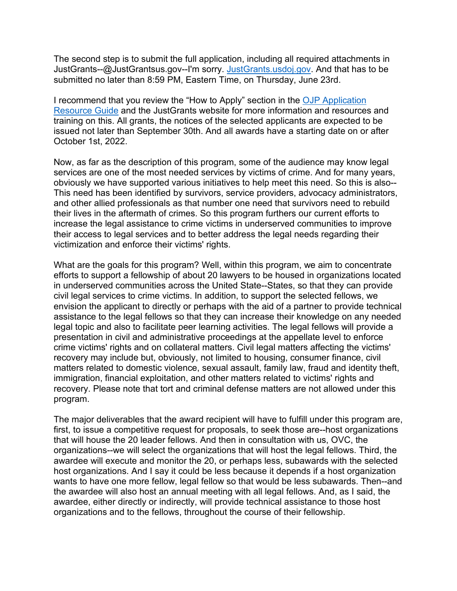The second step is to submit the full application, including all required attachments in JustGrants--@JustGrantsus.gov--I'm sorry. [JustGrants.usdoj.gov.](https://justgrants.usdoj.gov/) And that has to be submitted no later than 8:59 PM, Eastern Time, on Thursday, June 23rd.

I recommend that you review the "How to Apply" section in the [OJP Application](https://www.ojp.gov/funding/apply/ojp-grant-application-resource-guide)  [Resource Guide](https://www.ojp.gov/funding/apply/ojp-grant-application-resource-guide) and the JustGrants website for more information and resources and training on this. All grants, the notices of the selected applicants are expected to be issued not later than September 30th. And all awards have a starting date on or after October 1st, 2022.

Now, as far as the description of this program, some of the audience may know legal services are one of the most needed services by victims of crime. And for many years, obviously we have supported various initiatives to help meet this need. So this is also-- This need has been identified by survivors, service providers, advocacy administrators, and other allied professionals as that number one need that survivors need to rebuild their lives in the aftermath of crimes. So this program furthers our current efforts to increase the legal assistance to crime victims in underserved communities to improve their access to legal services and to better address the legal needs regarding their victimization and enforce their victims' rights.

What are the goals for this program? Well, within this program, we aim to concentrate efforts to support a fellowship of about 20 lawyers to be housed in organizations located in underserved communities across the United State--States, so that they can provide civil legal services to crime victims. In addition, to support the selected fellows, we envision the applicant to directly or perhaps with the aid of a partner to provide technical assistance to the legal fellows so that they can increase their knowledge on any needed legal topic and also to facilitate peer learning activities. The legal fellows will provide a presentation in civil and administrative proceedings at the appellate level to enforce crime victims' rights and on collateral matters. Civil legal matters affecting the victims' recovery may include but, obviously, not limited to housing, consumer finance, civil matters related to domestic violence, sexual assault, family law, fraud and identity theft, immigration, financial exploitation, and other matters related to victims' rights and recovery. Please note that tort and criminal defense matters are not allowed under this program.

The major deliverables that the award recipient will have to fulfill under this program are, first, to issue a competitive request for proposals, to seek those are--host organizations that will house the 20 leader fellows. And then in consultation with us, OVC, the organizations--we will select the organizations that will host the legal fellows. Third, the awardee will execute and monitor the 20, or perhaps less, subawards with the selected host organizations. And I say it could be less because it depends if a host organization wants to have one more fellow, legal fellow so that would be less subawards. Then--and the awardee will also host an annual meeting with all legal fellows. And, as I said, the awardee, either directly or indirectly, will provide technical assistance to those host organizations and to the fellows, throughout the course of their fellowship.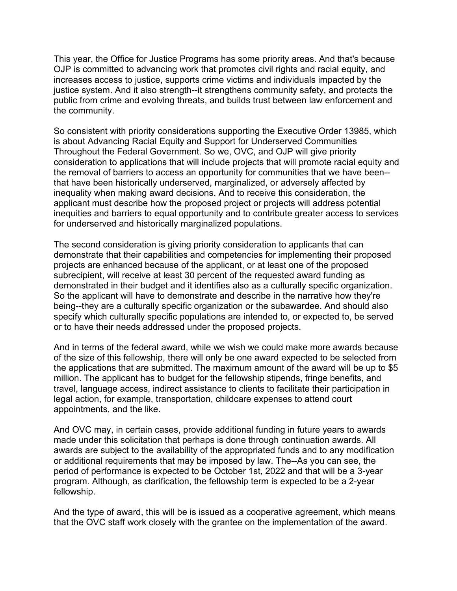This year, the Office for Justice Programs has some priority areas. And that's because OJP is committed to advancing work that promotes civil rights and racial equity, and increases access to justice, supports crime victims and individuals impacted by the justice system. And it also strength--it strengthens community safety, and protects the public from crime and evolving threats, and builds trust between law enforcement and the community.

So consistent with priority considerations supporting the Executive Order 13985, which is about Advancing Racial Equity and Support for Underserved Communities Throughout the Federal Government. So we, OVC, and OJP will give priority consideration to applications that will include projects that will promote racial equity and the removal of barriers to access an opportunity for communities that we have been- that have been historically underserved, marginalized, or adversely affected by inequality when making award decisions. And to receive this consideration, the applicant must describe how the proposed project or projects will address potential inequities and barriers to equal opportunity and to contribute greater access to services for underserved and historically marginalized populations.

The second consideration is giving priority consideration to applicants that can demonstrate that their capabilities and competencies for implementing their proposed projects are enhanced because of the applicant, or at least one of the proposed subrecipient, will receive at least 30 percent of the requested award funding as demonstrated in their budget and it identifies also as a culturally specific organization. So the applicant will have to demonstrate and describe in the narrative how they're being--they are a culturally specific organization or the subawardee. And should also specify which culturally specific populations are intended to, or expected to, be served or to have their needs addressed under the proposed projects.

And in terms of the federal award, while we wish we could make more awards because of the size of this fellowship, there will only be one award expected to be selected from the applications that are submitted. The maximum amount of the award will be up to \$5 million. The applicant has to budget for the fellowship stipends, fringe benefits, and travel, language access, indirect assistance to clients to facilitate their participation in legal action, for example, transportation, childcare expenses to attend court appointments, and the like.

And OVC may, in certain cases, provide additional funding in future years to awards made under this solicitation that perhaps is done through continuation awards. All awards are subject to the availability of the appropriated funds and to any modification or additional requirements that may be imposed by law. The--As you can see, the period of performance is expected to be October 1st, 2022 and that will be a 3-year program. Although, as clarification, the fellowship term is expected to be a 2-year fellowship.

And the type of award, this will be is issued as a cooperative agreement, which means that the OVC staff work closely with the grantee on the implementation of the award.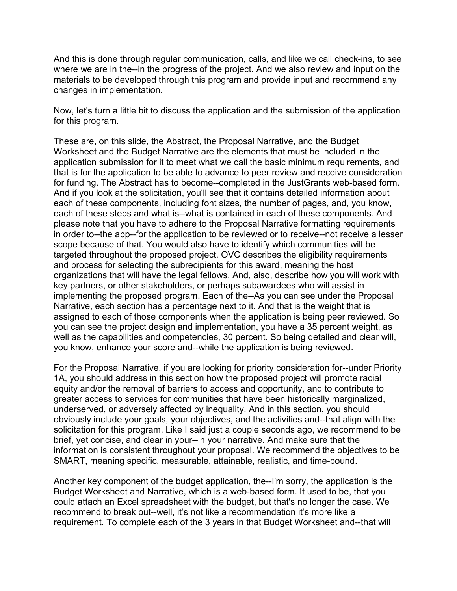And this is done through regular communication, calls, and like we call check-ins, to see where we are in the--in the progress of the project. And we also review and input on the materials to be developed through this program and provide input and recommend any changes in implementation.

Now, let's turn a little bit to discuss the application and the submission of the application for this program.

These are, on this slide, the Abstract, the Proposal Narrative, and the Budget Worksheet and the Budget Narrative are the elements that must be included in the application submission for it to meet what we call the basic minimum requirements, and that is for the application to be able to advance to peer review and receive consideration for funding. The Abstract has to become--completed in the JustGrants web-based form. And if you look at the solicitation, you'll see that it contains detailed information about each of these components, including font sizes, the number of pages, and, you know, each of these steps and what is--what is contained in each of these components. And please note that you have to adhere to the Proposal Narrative formatting requirements in order to--the app--for the application to be reviewed or to receive--not receive a lesser scope because of that. You would also have to identify which communities will be targeted throughout the proposed project. OVC describes the eligibility requirements and process for selecting the subrecipients for this award, meaning the host organizations that will have the legal fellows. And, also, describe how you will work with key partners, or other stakeholders, or perhaps subawardees who will assist in implementing the proposed program. Each of the--As you can see under the Proposal Narrative, each section has a percentage next to it. And that is the weight that is assigned to each of those components when the application is being peer reviewed. So you can see the project design and implementation, you have a 35 percent weight, as well as the capabilities and competencies, 30 percent. So being detailed and clear will, you know, enhance your score and--while the application is being reviewed.

For the Proposal Narrative, if you are looking for priority consideration for--under Priority 1A, you should address in this section how the proposed project will promote racial equity and/or the removal of barriers to access and opportunity, and to contribute to greater access to services for communities that have been historically marginalized, underserved, or adversely affected by inequality. And in this section, you should obviously include your goals, your objectives, and the activities and--that align with the solicitation for this program. Like I said just a couple seconds ago, we recommend to be brief, yet concise, and clear in your--in your narrative. And make sure that the information is consistent throughout your proposal. We recommend the objectives to be SMART, meaning specific, measurable, attainable, realistic, and time-bound.

Another key component of the budget application, the--I'm sorry, the application is the Budget Worksheet and Narrative, which is a web-based form. It used to be, that you could attach an Excel spreadsheet with the budget, but that's no longer the case. We recommend to break out--well, it's not like a recommendation it's more like a requirement. To complete each of the 3 years in that Budget Worksheet and--that will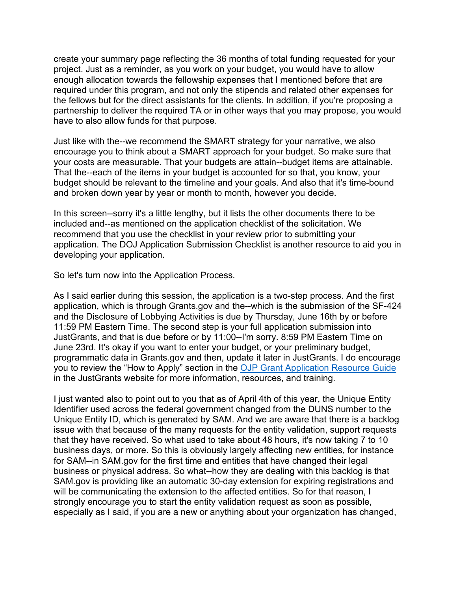create your summary page reflecting the 36 months of total funding requested for your project. Just as a reminder, as you work on your budget, you would have to allow enough allocation towards the fellowship expenses that I mentioned before that are required under this program, and not only the stipends and related other expenses for the fellows but for the direct assistants for the clients. In addition, if you're proposing a partnership to deliver the required TA or in other ways that you may propose, you would have to also allow funds for that purpose.

Just like with the--we recommend the SMART strategy for your narrative, we also encourage you to think about a SMART approach for your budget. So make sure that your costs are measurable. That your budgets are attain--budget items are attainable. That the--each of the items in your budget is accounted for so that, you know, your budget should be relevant to the timeline and your goals. And also that it's time-bound and broken down year by year or month to month, however you decide.

In this screen--sorry it's a little lengthy, but it lists the other documents there to be included and--as mentioned on the application checklist of the solicitation. We recommend that you use the checklist in your review prior to submitting your application. The DOJ Application Submission Checklist is another resource to aid you in developing your application.

So let's turn now into the Application Process.

As I said earlier during this session, the application is a two-step process. And the first application, which is through Grants.gov and the--which is the submission of the SF-424 and the Disclosure of Lobbying Activities is due by Thursday, June 16th by or before 11:59 PM Eastern Time. The second step is your full application submission into JustGrants, and that is due before or by 11:00--I'm sorry. 8:59 PM Eastern Time on June 23rd. It's okay if you want to enter your budget, or your preliminary budget, programmatic data in Grants.gov and then, update it later in JustGrants. I do encourage you to review the "How to Apply" section in the [OJP Grant Application Resource Guide](https://www.ojp.gov/funding/apply/ojp-grant-application-resource-guide) in the JustGrants website for more information, resources, and training.

I just wanted also to point out to you that as of April 4th of this year, the Unique Entity Identifier used across the federal government changed from the DUNS number to the Unique Entity ID, which is generated by SAM. And we are aware that there is a backlog issue with that because of the many requests for the entity validation, support requests that they have received. So what used to take about 48 hours, it's now taking 7 to 10 business days, or more. So this is obviously largely affecting new entities, for instance for SAM--in SAM.gov for the first time and entities that have changed their legal business or physical address. So what--how they are dealing with this backlog is that SAM.gov is providing like an automatic 30-day extension for expiring registrations and will be communicating the extension to the affected entities. So for that reason, I strongly encourage you to start the entity validation request as soon as possible, especially as I said, if you are a new or anything about your organization has changed,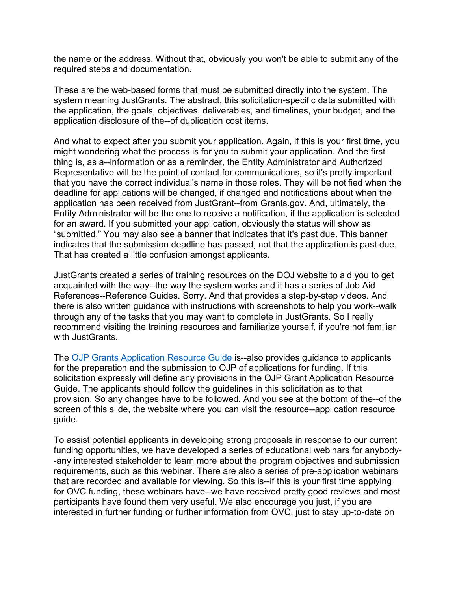the name or the address. Without that, obviously you won't be able to submit any of the required steps and documentation.

These are the web-based forms that must be submitted directly into the system. The system meaning JustGrants. The abstract, this solicitation-specific data submitted with the application, the goals, objectives, deliverables, and timelines, your budget, and the application disclosure of the--of duplication cost items.

And what to expect after you submit your application. Again, if this is your first time, you might wondering what the process is for you to submit your application. And the first thing is, as a--information or as a reminder, the Entity Administrator and Authorized Representative will be the point of contact for communications, so it's pretty important that you have the correct individual's name in those roles. They will be notified when the deadline for applications will be changed, if changed and notifications about when the application has been received from JustGrant--from Grants.gov. And, ultimately, the Entity Administrator will be the one to receive a notification, if the application is selected for an award. If you submitted your application, obviously the status will show as "submitted." You may also see a banner that indicates that it's past due. This banner indicates that the submission deadline has passed, not that the application is past due. That has created a little confusion amongst applicants.

JustGrants created a series of training resources on the DOJ website to aid you to get acquainted with the way--the way the system works and it has a series of Job Aid References--Reference Guides. Sorry. And that provides a step-by-step videos. And there is also written guidance with instructions with screenshots to help you work--walk through any of the tasks that you may want to complete in JustGrants. So I really recommend visiting the training resources and familiarize yourself, if you're not familiar with JustGrants.

The [OJP Grants Application Resource Guide](https://www.ojp.gov/funding/apply/ojp-grant-application-resource-guide) is--also provides guidance to applicants for the preparation and the submission to OJP of applications for funding. If this solicitation expressly will define any provisions in the OJP Grant Application Resource Guide. The applicants should follow the guidelines in this solicitation as to that provision. So any changes have to be followed. And you see at the bottom of the--of the screen of this slide, the website where you can visit the resource--application resource guide.

To assist potential applicants in developing strong proposals in response to our current funding opportunities, we have developed a series of educational webinars for anybody- -any interested stakeholder to learn more about the program objectives and submission requirements, such as this webinar. There are also a series of pre-application webinars that are recorded and available for viewing. So this is--if this is your first time applying for OVC funding, these webinars have--we have received pretty good reviews and most participants have found them very useful. We also encourage you just, if you are interested in further funding or further information from OVC, just to stay up-to-date on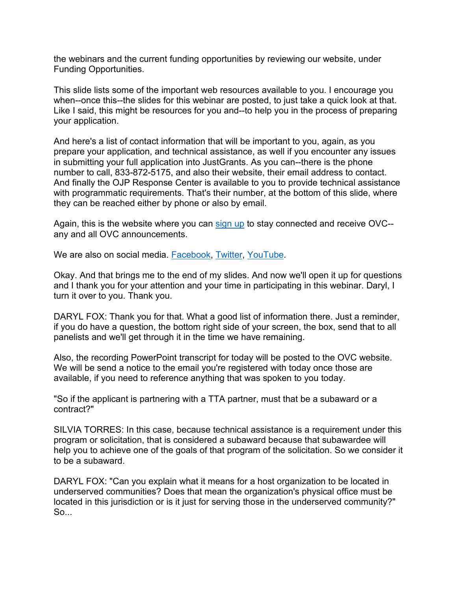the webinars and the current funding opportunities by reviewing our website, under Funding Opportunities.

This slide lists some of the important web resources available to you. I encourage you when--once this--the slides for this webinar are posted, to just take a quick look at that. Like I said, this might be resources for you and--to help you in the process of preparing your application.

And here's a list of contact information that will be important to you, again, as you prepare your application, and technical assistance, as well if you encounter any issues in submitting your full application into JustGrants. As you can--there is the phone number to call, 833-872-5175, and also their website, their email address to contact. And finally the OJP Response Center is available to you to provide technical assistance with programmatic requirements. That's their number, at the bottom of this slide, where they can be reached either by phone or also by email.

Again, this is the website where you can [sign up](https://puborder.ncjrs.gov/Listservs/subscribe_newsfromovc.asp) to stay connected and receive OVC- any and all OVC announcements.

We are also on social media. [Facebook,](https://www.facebook.com/OJPOVC) [Twitter,](http://www.twitter/ojpovc) [YouTube.](https://www.youtube.com/user/OJPOVC)

Okay. And that brings me to the end of my slides. And now we'll open it up for questions and I thank you for your attention and your time in participating in this webinar. Daryl, I turn it over to you. Thank you.

DARYL FOX: Thank you for that. What a good list of information there. Just a reminder, if you do have a question, the bottom right side of your screen, the box, send that to all panelists and we'll get through it in the time we have remaining.

Also, the recording PowerPoint transcript for today will be posted to the OVC website. We will be send a notice to the email you're registered with today once those are available, if you need to reference anything that was spoken to you today.

"So if the applicant is partnering with a TTA partner, must that be a subaward or a contract?"

SILVIA TORRES: In this case, because technical assistance is a requirement under this program or solicitation, that is considered a subaward because that subawardee will help you to achieve one of the goals of that program of the solicitation. So we consider it to be a subaward.

DARYL FOX: "Can you explain what it means for a host organization to be located in underserved communities? Does that mean the organization's physical office must be located in this jurisdiction or is it just for serving those in the underserved community?" So...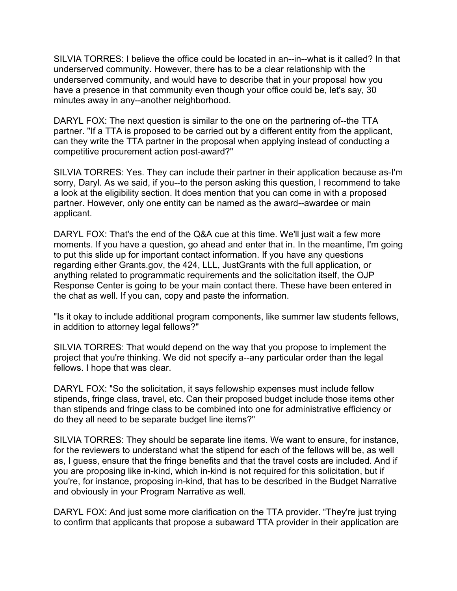SILVIA TORRES: I believe the office could be located in an--in--what is it called? In that underserved community. However, there has to be a clear relationship with the underserved community, and would have to describe that in your proposal how you have a presence in that community even though your office could be, let's say, 30 minutes away in any--another neighborhood.

DARYL FOX: The next question is similar to the one on the partnering of--the TTA partner. "If a TTA is proposed to be carried out by a different entity from the applicant, can they write the TTA partner in the proposal when applying instead of conducting a competitive procurement action post-award?"

SILVIA TORRES: Yes. They can include their partner in their application because as-I'm sorry, Daryl. As we said, if you--to the person asking this question, I recommend to take a look at the eligibility section. It does mention that you can come in with a proposed partner. However, only one entity can be named as the award--awardee or main applicant.

DARYL FOX: That's the end of the Q&A cue at this time. We'll just wait a few more moments. If you have a question, go ahead and enter that in. In the meantime, I'm going to put this slide up for important contact information. If you have any questions regarding either Grants.gov, the 424, LLL, JustGrants with the full application, or anything related to programmatic requirements and the solicitation itself, the OJP Response Center is going to be your main contact there. These have been entered in the chat as well. If you can, copy and paste the information.

"Is it okay to include additional program components, like summer law students fellows, in addition to attorney legal fellows?"

SILVIA TORRES: That would depend on the way that you propose to implement the project that you're thinking. We did not specify a--any particular order than the legal fellows. I hope that was clear.

DARYL FOX: "So the solicitation, it says fellowship expenses must include fellow stipends, fringe class, travel, etc. Can their proposed budget include those items other than stipends and fringe class to be combined into one for administrative efficiency or do they all need to be separate budget line items?"

SILVIA TORRES: They should be separate line items. We want to ensure, for instance, for the reviewers to understand what the stipend for each of the fellows will be, as well as, I guess, ensure that the fringe benefits and that the travel costs are included. And if you are proposing like in-kind, which in-kind is not required for this solicitation, but if you're, for instance, proposing in-kind, that has to be described in the Budget Narrative and obviously in your Program Narrative as well.

DARYL FOX: And just some more clarification on the TTA provider. "They're just trying to confirm that applicants that propose a subaward TTA provider in their application are